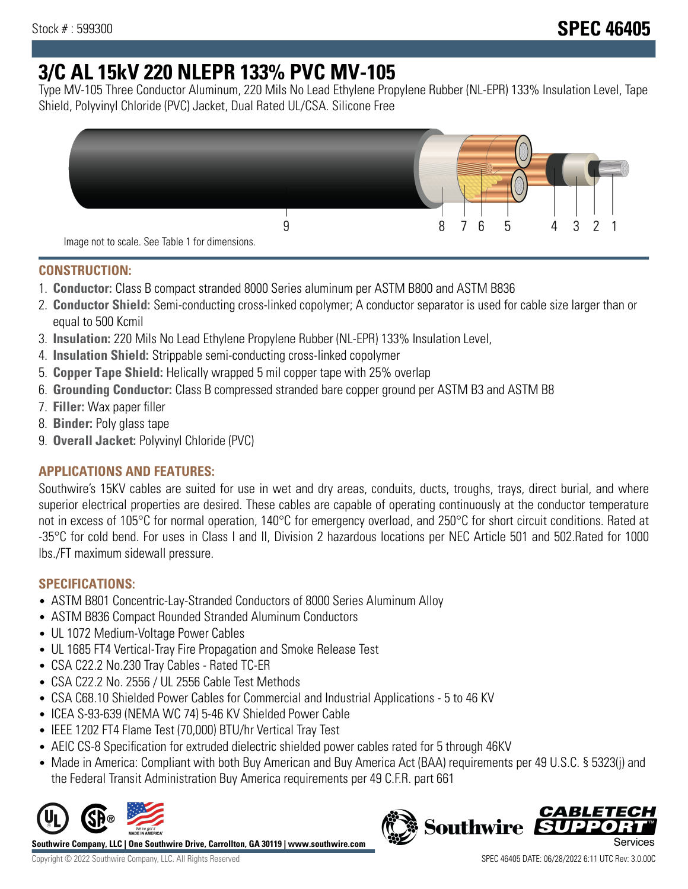# **3/C AL 15kV 220 NLEPR 133% PVC MV-105**

Type MV-105 Three Conductor Aluminum, 220 Mils No Lead Ethylene Propylene Rubber (NL-EPR) 133% Insulation Level, Tape Shield, Polyvinyl Chloride (PVC) Jacket, Dual Rated UL/CSA. Silicone Free



#### **CONSTRUCTION:**

- 1. **Conductor:** Class B compact stranded 8000 Series aluminum per ASTM B800 and ASTM B836
- 2. **Conductor Shield:** Semi-conducting cross-linked copolymer; A conductor separator is used for cable size larger than or equal to 500 Kcmil
- 3. **Insulation:** 220 Mils No Lead Ethylene Propylene Rubber (NL-EPR) 133% Insulation Level,
- 4. **Insulation Shield:** Strippable semi-conducting cross-linked copolymer
- 5. **Copper Tape Shield:** Helically wrapped 5 mil copper tape with 25% overlap
- 6. **Grounding Conductor:** Class B compressed stranded bare copper ground per ASTM B3 and ASTM B8
- 7. **Filler:** Wax paper filler
- 8. **Binder:** Poly glass tape
- 9. **Overall Jacket:** Polyvinyl Chloride (PVC)

# **APPLICATIONS AND FEATURES:**

Southwire's 15KV cables are suited for use in wet and dry areas, conduits, ducts, troughs, trays, direct burial, and where superior electrical properties are desired. These cables are capable of operating continuously at the conductor temperature not in excess of 105°C for normal operation, 140°C for emergency overload, and 250°C for short circuit conditions. Rated at -35°C for cold bend. For uses in Class I and II, Division 2 hazardous locations per NEC Article 501 and 502.Rated for 1000 lbs./FT maximum sidewall pressure.

# **SPECIFICATIONS:**

- ASTM B801 Concentric-Lay-Stranded Conductors of 8000 Series Aluminum Alloy
- ASTM B836 Compact Rounded Stranded Aluminum Conductors
- UL 1072 Medium-Voltage Power Cables
- UL 1685 FT4 Vertical-Tray Fire Propagation and Smoke Release Test
- CSA C22.2 No.230 Tray Cables Rated TC-ER
- CSA C22.2 No. 2556 / UL 2556 Cable Test Methods
- CSA C68.10 Shielded Power Cables for Commercial and Industrial Applications 5 to 46 KV
- ICEA S-93-639 (NEMA WC 74) 5-46 KV Shielded Power Cable
- IEEE 1202 FT4 Flame Test (70,000) BTU/hr Vertical Tray Test
- AEIC CS-8 Specification for extruded dielectric shielded power cables rated for 5 through 46KV
- Made in America: Compliant with both Buy American and Buy America Act (BAA) requirements per 49 U.S.C. § 5323(j) and the Federal Transit Administration Buy America requirements per 49 C.F.R. part 661



**Southwire Company, LLC | One Southwire Drive, Carrollton, GA 30119 | www.southwire.com**